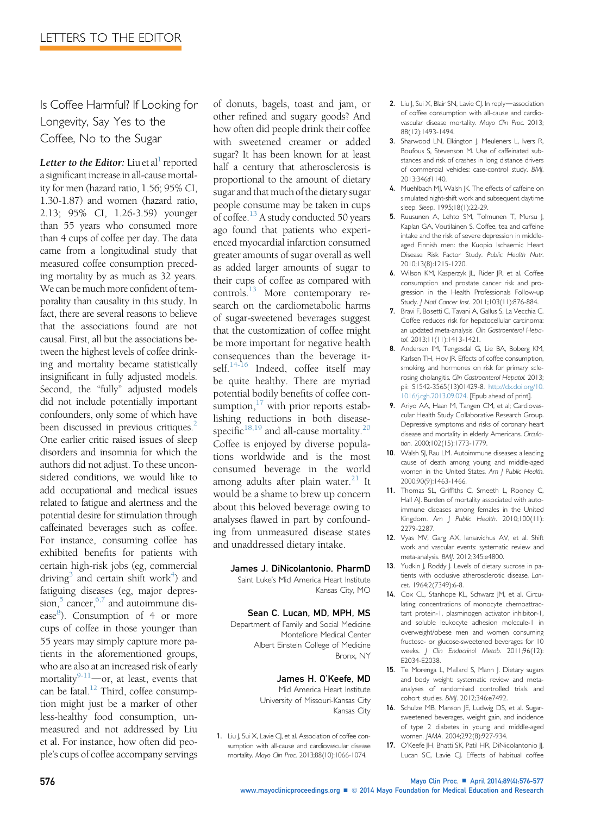Is Coffee Harmful? If Looking for Longevity, Say Yes to the Coffee, No to the Sugar

Letter to the Editor: Liu et al<sup>1</sup> reported a significant increase in all-cause mortality for men (hazard ratio, 1.56; 95% CI, 1.30-1.87) and women (hazard ratio, 2.13; 95% CI, 1.26-3.59) younger than 55 years who consumed more than 4 cups of coffee per day. The data came from a longitudinal study that measured coffee consumption preceding mortality by as much as 32 years. We can be much more confident of temporality than causality in this study. In fact, there are several reasons to believe that the associations found are not causal. First, all but the associations between the highest levels of coffee drinking and mortality became statistically insignificant in fully adjusted models. Second, the "fully" adjusted models did not include potentially important confounders, only some of which have been discussed in previous critiques.<sup>2</sup> One earlier critic raised issues of sleep disorders and insomnia for which the authors did not adjust. To these unconsidered conditions, we would like to add occupational and medical issues related to fatigue and alertness and the potential desire for stimulation through caffeinated beverages such as coffee. For instance, consuming coffee has exhibited benefits for patients with certain high-risk jobs (eg, commercial driving<sup>3</sup> and certain shift work<sup>4</sup>) and fatiguing diseases (eg, major depression, $5$  cancer, $6,7$  and autoimmune disease<sup>8</sup>). Consumption of 4 or more cups of coffee in those younger than 55 years may simply capture more patients in the aforementioned groups, who are also at an increased risk of early mortality $9-11$  -or, at least, events that can be fatal. $^{12}$  Third, coffee consumption might just be a marker of other less-healthy food consumption, unmeasured and not addressed by Liu et al. For instance, how often did people's cups of coffee accompany servings

of donuts, bagels, toast and jam, or other refined and sugary goods? And how often did people drink their coffee with sweetened creamer or added sugar? It has been known for at least half a century that atherosclerosis is proportional to the amount of dietary sugar and that much of the dietary sugar people consume may be taken in cups of coffee.<sup>13</sup> A study conducted 50 years ago found that patients who experienced myocardial infarction consumed greater amounts of sugar overall as well as added larger amounts of sugar to their cups of coffee as compared with controls.13 More contemporary research on the cardiometabolic harms of sugar-sweetened beverages suggest that the customization of coffee might be more important for negative health consequences than the beverage itself. $14-16$  Indeed, coffee itself may be quite healthy. There are myriad potential bodily benefits of coffee consumption, $17$  with prior reports establishing reductions in both diseasespecific $18,19$  and all-cause mortality.<sup>[20](#page-1-0)</sup> Coffee is enjoyed by diverse populations worldwide and is the most consumed beverage in the world among adults after plain water. $21$  It would be a shame to brew up concern about this beloved beverage owing to analyses flawed in part by confounding from unmeasured disease states and unaddressed dietary intake.

# James J. DiNicolantonio, PharmD

Saint Luke's Mid America Heart Institute Kansas City, MO

### Sean C. Lucan, MD, MPH, MS

Department of Family and Social Medicine Montefiore Medical Center Albert Einstein College of Medicine Bronx, NY

## James H. O'Keefe, MD

Mid America Heart Institute University of Missouri-Kansas City Kansas City

1. Liu J, Sui X, Lavie CJ, et al. Association of coffee consumption with all-cause and cardiovascular disease mortality. Mayo Clin Proc. 2013;88(10):1066-1074.

- 2. Liu J, Sui  $X$ , Blair SN, Lavie CJ. In reply-association of coffee consumption with all-cause and cardiovascular disease mortality. Mayo Clin Proc. 2013; 88(12):1493-1494.
- 3. Sharwood LN, Elkington J, Meuleners L, Ivers R, Boufous S, Stevenson M. Use of caffeinated substances and risk of crashes in long distance drivers of commercial vehicles: case-control study. BMJ. 2013;346:f1140.
- 4. Muehlbach MJ, Walsh JK. The effects of caffeine on simulated night-shift work and subsequent daytime sleep. Sleep. 1995;18(1):22-29.
- 5. Ruusunen A, Lehto SM, Tolmunen T, Mursu J, Kaplan GA, Voutilainen S. Coffee, tea and caffeine intake and the risk of severe depression in middleaged Finnish men: the Kuopio Ischaemic Heart Disease Risk Factor Study. Public Health Nutr. 2010;13(8):1215-1220.
- 6. Wilson KM, Kasperzyk JL, Rider JR, et al. Coffee consumption and prostate cancer risk and progression in the Health Professionals Follow-up Study. J Natl Cancer Inst. 2011;103(11):876-884.
- 7. Bravi F, Bosetti C, Tavani A, Gallus S, La Vecchia C. Coffee reduces risk for hepatocellular carcinoma: an updated meta-analysis. Clin Gastroenterol Hepatol. 2013;11(11):1413-1421.
- 8. Andersen IM, Tengesdal G, Lie BA, Boberg KM, Karlsen TH, Hov JR. Effects of coffee consumption, smoking, and hormones on risk for primary sclerosing cholangitis. Clin Gastroenterol Hepatol. 2013; pii: S1542-3565(13)01429-8. [http://dx.doi.org/10.](http://dx.doi.org/10.1016/j.cgh.2013.09.024) [1016/j.cgh.2013.09.024](http://dx.doi.org/10.1016/j.cgh.2013.09.024). [Epub ahead of print].
- 9. Ariyo AA, Haan M, Tangen CM, et al; Cardiovascular Health Study Collaborative Research Group. Depressive symptoms and risks of coronary heart disease and mortality in elderly Americans. Circulation. 2000;102(15):1773-1779.
- 10. Walsh SJ, Rau LM. Autoimmune diseases: a leading cause of death among young and middle-aged women in the United States. Am J Public Health. 2000;90(9):1463-1466.
- 11. Thomas SL, Griffiths C, Smeeth L, Rooney C, Hall AJ. Burden of mortality associated with autoimmune diseases among females in the United Kingdom. Am J Public Health. 2010;100(11): 2279-2287.
- 12. Vyas MV, Garg AX, Iansavichus AV, et al. Shift work and vascular events: systematic review and meta-analysis. BMJ. 2012;345:e4800.
- 13. Yudkin J, Roddy J. Levels of dietary sucrose in patients with occlusive atherosclerotic disease. Lancet. 1964;2(7349):6-8.
- 14. Cox CL, Stanhope KL, Schwarz JM, et al. Circulating concentrations of monocyte chemoattractant protein-1, plasminogen activator inhibitor-1, and soluble leukocyte adhesion molecule-1 in overweight/obese men and women consuming fructose- or glucose-sweetened beverages for 10 weeks. J Clin Endocrinol Metab. 2011;96(12): E2034-E2038.
- 15. Te Morenga L, Mallard S, Mann J. Dietary sugars and body weight: systematic review and metaanalyses of randomised controlled trials and cohort studies. BMJ. 2012;346:e7492.
- 16. Schulze MB, Manson JE, Ludwig DS, et al. Sugarsweetened beverages, weight gain, and incidence of type 2 diabetes in young and middle-aged women. JAMA. 2004;292(8):927-934.
- 17. O'Keefe |H, Bhatti SK, Patil HR, DiNicolantonio ||, Lucan SC, Lavie CJ. Effects of habitual coffee